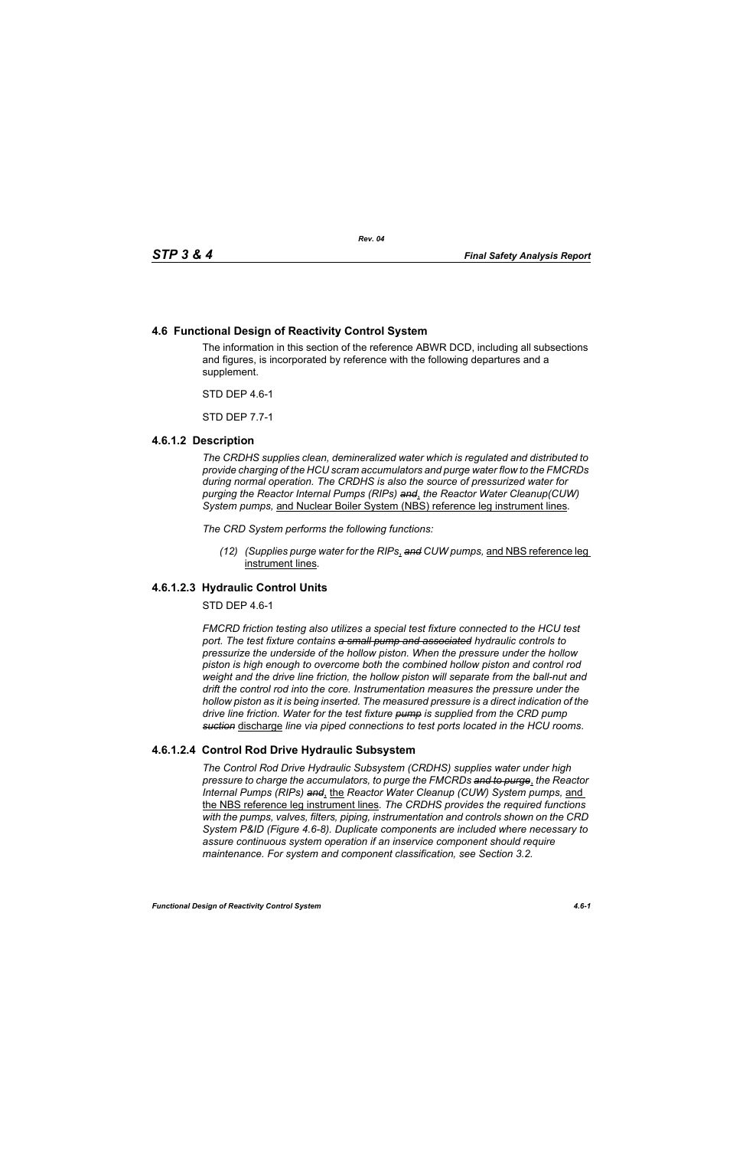# **4.6 Functional Design of Reactivity Control System**

The information in this section of the reference ABWR DCD, including all subsections and figures, is incorporated by reference with the following departures and a supplement.

STD DEP 4.6-1

STD DEP 7.7-1

# **4.6.1.2 Description**

*The CRDHS supplies clean, demineralized water which is regulated and distributed to provide charging of the HCU scram accumulators and purge water flow to the FMCRDs during normal operation. The CRDHS is also the source of pressurized water for purging the Reactor Internal Pumps (RIPs) and*, *the Reactor Water Cleanup(CUW) System pumps,* and Nuclear Boiler System (NBS) reference leg instrument lines*.*

*The CRD System performs the following functions:*

*(12) (Supplies purge water for the RIPs*, *and CUW pumps,* and NBS reference leg instrument lines*.*

# **4.6.1.2.3 Hydraulic Control Units**

STD DEP 4.6-1

*FMCRD friction testing also utilizes a special test fixture connected to the HCU test port. The test fixture contains a small pump and associated hydraulic controls to pressurize the underside of the hollow piston. When the pressure under the hollow piston is high enough to overcome both the combined hollow piston and control rod weight and the drive line friction, the hollow piston will separate from the ball-nut and drift the control rod into the core. Instrumentation measures the pressure under the hollow piston as it is being inserted. The measured pressure is a direct indication of the drive line friction. Water for the test fixture pump is supplied from the CRD pump suction* discharge *line via piped connections to test ports located in the HCU rooms*.

# **4.6.1.2.4 Control Rod Drive Hydraulic Subsystem**

*The Control Rod Drive Hydraulic Subsystem (CRDHS) supplies water under high pressure to charge the accumulators, to purge the FMCRDs and to purge*, *the Reactor Internal Pumps (RIPs) and*, the *Reactor Water Cleanup (CUW) System pumps,* and the NBS reference leg instrument lines*. The CRDHS provides the required functions with the pumps, valves, filters, piping, instrumentation and controls shown on the CRD System P&ID (Figure 4.6-8). Duplicate components are included where necessary to assure continuous system operation if an inservice component should require maintenance. For system and component classification, see Section 3.2.*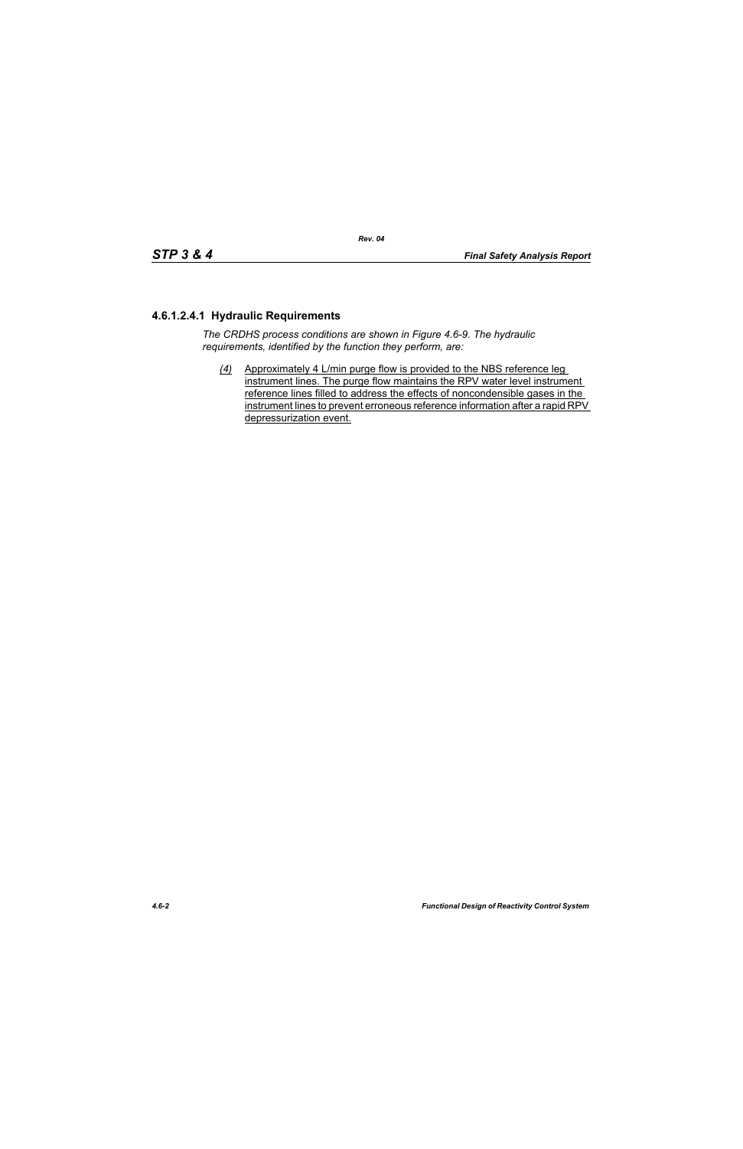# **4.6.1.2.4.1 Hydraulic Requirements**

*The CRDHS process conditions are shown in Figure 4.6-9. The hydraulic requirements, identified by the function they perform, are:*

*(4)* Approximately 4 L/min purge flow is provided to the NBS reference leg instrument lines. The purge flow maintains the RPV water level instrument reference lines filled to address the effects of noncondensible gases in the instrument lines to prevent erroneous reference information after a rapid RPV depressurization event.